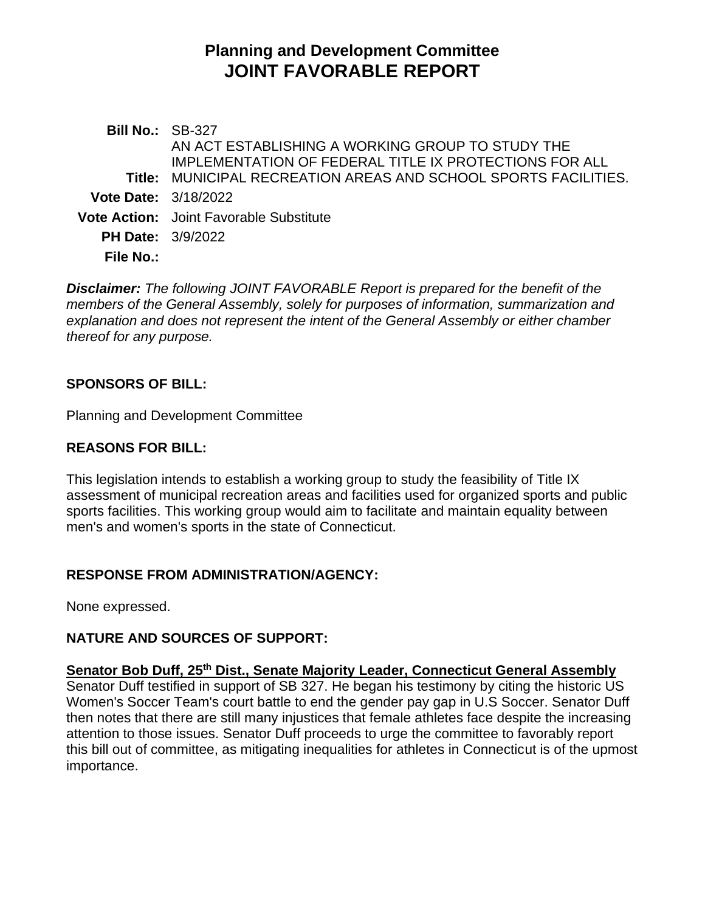# **Planning and Development Committee JOINT FAVORABLE REPORT**

**Bill No.:** SB-327 **Title:** MUNICIPAL RECREATION AREAS AND SCHOOL SPORTS FACILITIES. AN ACT ESTABLISHING A WORKING GROUP TO STUDY THE IMPLEMENTATION OF FEDERAL TITLE IX PROTECTIONS FOR ALL **Vote Date:** 3/18/2022 **Vote Action:** Joint Favorable Substitute **PH Date:** 3/9/2022 **File No.:**

*Disclaimer: The following JOINT FAVORABLE Report is prepared for the benefit of the members of the General Assembly, solely for purposes of information, summarization and explanation and does not represent the intent of the General Assembly or either chamber thereof for any purpose.*

## **SPONSORS OF BILL:**

Planning and Development Committee

## **REASONS FOR BILL:**

This legislation intends to establish a working group to study the feasibility of Title IX assessment of municipal recreation areas and facilities used for organized sports and public sports facilities. This working group would aim to facilitate and maintain equality between men's and women's sports in the state of Connecticut.

# **RESPONSE FROM ADMINISTRATION/AGENCY:**

None expressed.

#### **NATURE AND SOURCES OF SUPPORT:**

**Senator Bob Duff, 25th Dist., Senate Majority Leader, Connecticut General Assembly** Senator Duff testified in support of SB 327. He began his testimony by citing the historic US Women's Soccer Team's court battle to end the gender pay gap in U.S Soccer. Senator Duff then notes that there are still many injustices that female athletes face despite the increasing attention to those issues. Senator Duff proceeds to urge the committee to favorably report this bill out of committee, as mitigating inequalities for athletes in Connecticut is of the upmost importance.